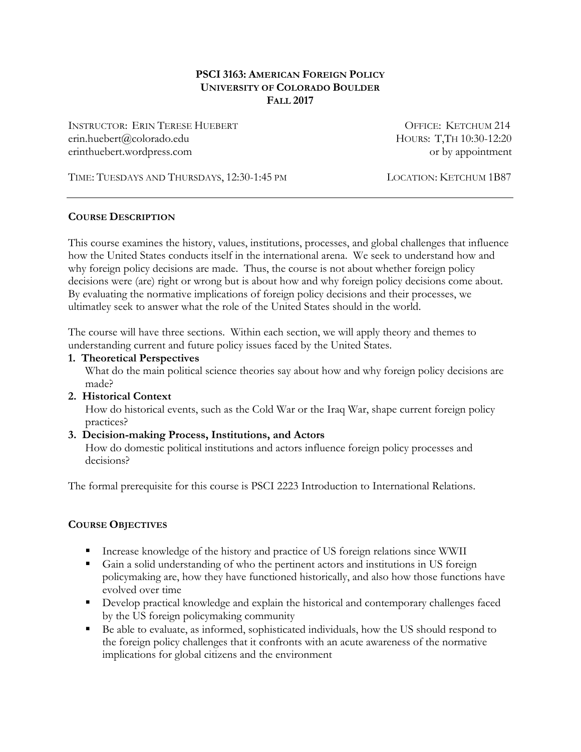#### **PSCI 3163: AMERICAN FOREIGN POLICY UNIVERSITY OF COLORADO BOULDER FALL 2017**

INSTRUCTOR: ERIN TERESE HUEBERT **OFFICE: KETCHUM 214** erin.huebert@colorado.edu HOURS: T,TH 10:30-12:20 erinthuebert.wordpress.com or by appointment

TIME: TUESDAYS AND THURSDAYS, 12:30-1:45 PM LOCATION: KETCHUM 1B87

### **COURSE DESCRIPTION**

This course examines the history, values, institutions, processes, and global challenges that influence how the United States conducts itself in the international arena. We seek to understand how and why foreign policy decisions are made. Thus, the course is not about whether foreign policy decisions were (are) right or wrong but is about how and why foreign policy decisions come about. By evaluating the normative implications of foreign policy decisions and their processes, we ultimatley seek to answer what the role of the United States should in the world.

The course will have three sections. Within each section, we will apply theory and themes to understanding current and future policy issues faced by the United States.

#### **1. Theoretical Perspectives**

What do the main political science theories say about how and why foreign policy decisions are made?

### **2. Historical Context**

How do historical events, such as the Cold War or the Iraq War, shape current foreign policy practices?

### **3. Decision-making Process, Institutions, and Actors**

How do domestic political institutions and actors influence foreign policy processes and decisions?

The formal prerequisite for this course is PSCI 2223 Introduction to International Relations.

### **COURSE OBJECTIVES**

- Increase knowledge of the history and practice of US foreign relations since WWII
- Gain a solid understanding of who the pertinent actors and institutions in US foreign policymaking are, how they have functioned historically, and also how those functions have evolved over time
- Develop practical knowledge and explain the historical and contemporary challenges faced by the US foreign policymaking community
- § Be able to evaluate, as informed, sophisticated individuals, how the US should respond to the foreign policy challenges that it confronts with an acute awareness of the normative implications for global citizens and the environment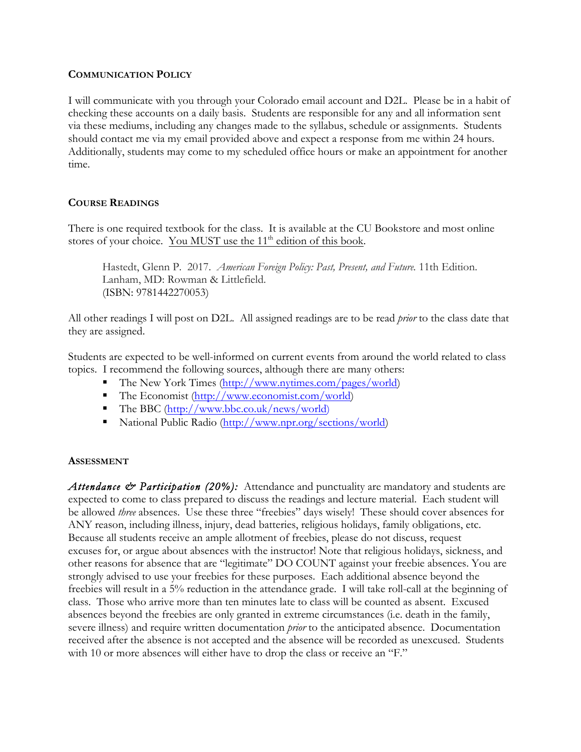#### **COMMUNICATION POLICY**

I will communicate with you through your Colorado email account and D2L. Please be in a habit of checking these accounts on a daily basis. Students are responsible for any and all information sent via these mediums, including any changes made to the syllabus, schedule or assignments. Students should contact me via my email provided above and expect a response from me within 24 hours. Additionally, students may come to my scheduled office hours or make an appointment for another time.

### **COURSE READINGS**

There is one required textbook for the class. It is available at the CU Bookstore and most online stores of your choice. You MUST use the 11<sup>th</sup> edition of this book.

Hastedt, Glenn P. 2017. *American Foreign Policy: Past, Present, and Future.* 11th Edition. Lanham, MD: Rowman & Littlefield. (ISBN: 9781442270053)

All other readings I will post on D2L. All assigned readings are to be read *prior* to the class date that they are assigned.

Students are expected to be well-informed on current events from around the world related to class topics. I recommend the following sources, although there are many others:

- The New York Times (http://www.nytimes.com/pages/world)
- The Economist (http://www.economist.com/world)
- The BBC (http://www.bbc.co.uk/news/world)
- National Public Radio (http://www.npr.org/sections/world)

#### **ASSESSMENT**

Attendance & Participation (20%): Attendance and punctuality are mandatory and students are expected to come to class prepared to discuss the readings and lecture material. Each student will be allowed *three* absences. Use these three "freebies" days wisely! These should cover absences for ANY reason, including illness, injury, dead batteries, religious holidays, family obligations, etc. Because all students receive an ample allotment of freebies, please do not discuss, request excuses for, or argue about absences with the instructor! Note that religious holidays, sickness, and other reasons for absence that are "legitimate" DO COUNT against your freebie absences. You are strongly advised to use your freebies for these purposes. Each additional absence beyond the freebies will result in a 5% reduction in the attendance grade. I will take roll-call at the beginning of class. Those who arrive more than ten minutes late to class will be counted as absent. Excused absences beyond the freebies are only granted in extreme circumstances (i.e. death in the family, severe illness) and require written documentation *prior* to the anticipated absence. Documentation received after the absence is not accepted and the absence will be recorded as unexcused. Students with 10 or more absences will either have to drop the class or receive an "F."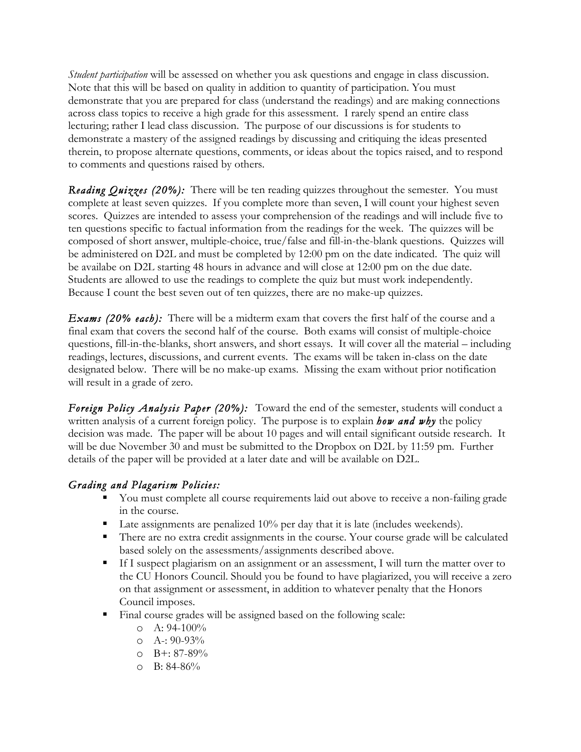*Student participation* will be assessed on whether you ask questions and engage in class discussion. Note that this will be based on quality in addition to quantity of participation. You must demonstrate that you are prepared for class (understand the readings) and are making connections across class topics to receive a high grade for this assessment. I rarely spend an entire class lecturing; rather I lead class discussion. The purpose of our discussions is for students to demonstrate a mastery of the assigned readings by discussing and critiquing the ideas presented therein, to propose alternate questions, comments, or ideas about the topics raised, and to respond to comments and questions raised by others.

*Reading Quizzes (20%):* There will be ten reading quizzes throughout the semester. You must complete at least seven quizzes. If you complete more than seven, I will count your highest seven scores. Quizzes are intended to assess your comprehension of the readings and will include five to ten questions specific to factual information from the readings for the week. The quizzes will be composed of short answer, multiple-choice, true/false and fill-in-the-blank questions. Quizzes will be administered on D2L and must be completed by 12:00 pm on the date indicated. The quiz will be availabe on D2L starting 48 hours in advance and will close at 12:00 pm on the due date. Students are allowed to use the readings to complete the quiz but must work independently. Because I count the best seven out of ten quizzes, there are no make-up quizzes.

*Exams (20% each):* There will be a midterm exam that covers the first half of the course and a final exam that covers the second half of the course. Both exams will consist of multiple-choice questions, fill-in-the-blanks, short answers, and short essays. It will cover all the material – including readings, lectures, discussions, and current events. The exams will be taken in-class on the date designated below. There will be no make-up exams. Missing the exam without prior notification will result in a grade of zero.

*Foreign Policy Analysis Paper (20%):* Toward the end of the semester, students will conduct a written analysis of a current foreign policy. The purpose is to explain *how and why* the policy decision was made. The paper will be about 10 pages and will entail significant outside research. It will be due November 30 and must be submitted to the Dropbox on D2L by 11:59 pm. Further details of the paper will be provided at a later date and will be available on D2L.

# *Grading and Plagarism Policies:*

- § You must complete all course requirements laid out above to receive a non-failing grade in the course.
- Late assignments are penalized 10% per day that it is late (includes weekends).
- There are no extra credit assignments in the course. Your course grade will be calculated based solely on the assessments/assignments described above.
- If I suspect plagiarism on an assignment or an assessment, I will turn the matter over to the CU Honors Council. Should you be found to have plagiarized, you will receive a zero on that assignment or assessment, in addition to whatever penalty that the Honors Council imposes.
- Final course grades will be assigned based on the following scale:
	- $O$  A: 94-100%
	- o A-: 90-93%
	- o B+: 87-89%
	- $O$  B: 84-86%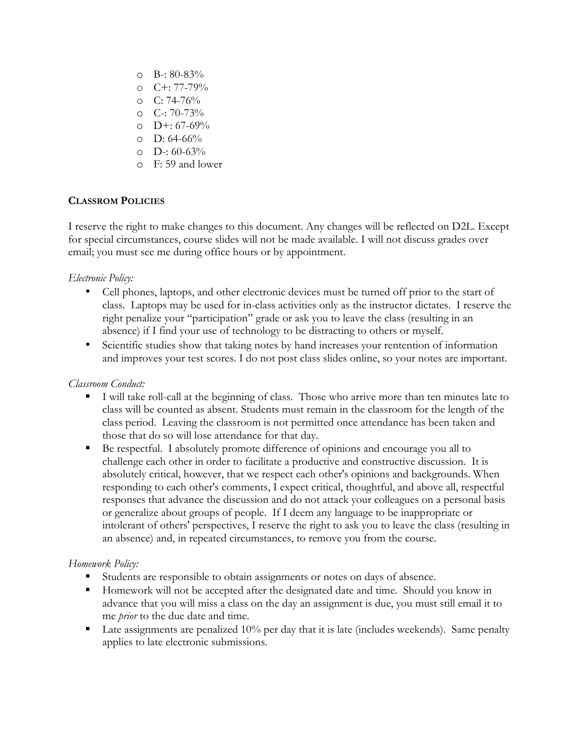- $O$  B-: 80-83%
- o C+: 77-79%
- $\degree$  C: 74-76%
- $O$  C-: 70-73%
- o D+: 67-69%
- $O$  D: 64-66%
- o D-: 60-63%
- o F: 59 and lower

# **CLASSROM POLICIES**

I reserve the right to make changes to this document. Any changes will be reflected on D2L. Except for special circumstances, course slides will not be made available. I will not discuss grades over email; you must see me during office hours or by appointment.

## *Electronic Policy:*

- Cell phones, laptops, and other electronic devices must be turned off prior to the start of class. Laptops may be used for in-class activities only as the instructor dictates. I reserve the right penalize your "participation" grade or ask you to leave the class (resulting in an absence) if I find your use of technology to be distracting to others or myself.
- Scientific studies show that taking notes by hand increases your rentention of information and improves your test scores. I do not post class slides online, so your notes are important.

### *Classroom Conduct:*

- § I will take roll-call at the beginning of class. Those who arrive more than ten minutes late to class will be counted as absent. Students must remain in the classroom for the length of the class period. Leaving the classroom is not permitted once attendance has been taken and those that do so will lose attendance for that day.
- Be respectful. I absolutely promote difference of opinions and encourage you all to challenge each other in order to facilitate a productive and constructive discussion. It is absolutely critical, however, that we respect each other's opinions and backgrounds. When responding to each other's comments, I expect critical, thoughtful, and above all, respectful responses that advance the discussion and do not attack your colleagues on a personal basis or generalize about groups of people. If I deem any language to be inappropriate or intolerant of others' perspectives, I reserve the right to ask you to leave the class (resulting in an absence) and, in repeated circumstances, to remove you from the course.

# *Homework Policy:*

- Students are responsible to obtain assignments or notes on days of absence.
- Homework will not be accepted after the designated date and time. Should you know in advance that you will miss a class on the day an assignment is due, you must still email it to me *prior* to the due date and time.
- **•** Late assignments are penalized  $10\%$  per day that it is late (includes weekends). Same penalty applies to late electronic submissions.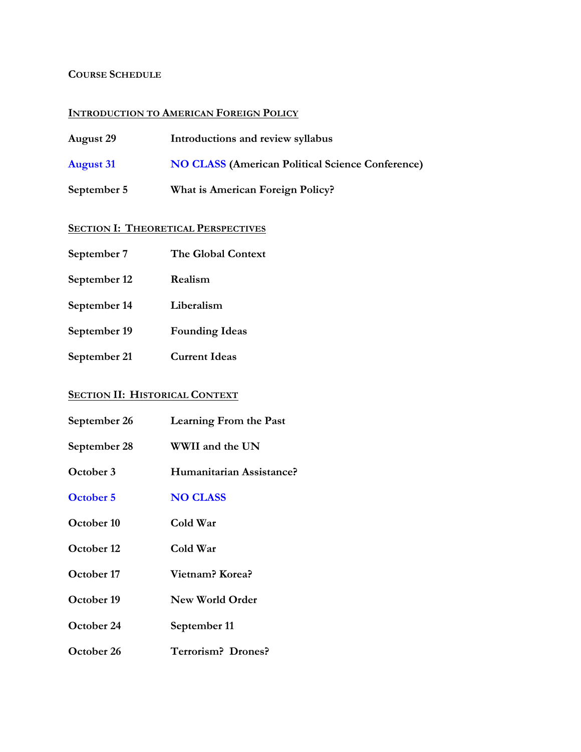# **COURSE SCHEDULE**

# **INTRODUCTION TO AMERICAN FOREIGN POLICY**

| <b>August 29</b> | Introductions and review syllabus                       |
|------------------|---------------------------------------------------------|
| <b>August 31</b> | <b>NO CLASS (American Political Science Conference)</b> |
| September 5      | What is American Foreign Policy?                        |

# **SECTION I: THEORETICAL PERSPECTIVES**

| The Global Context |
|--------------------|
|                    |

- **September 12 Realism**
- **September 14 Liberalism**
- **September 19 Founding Ideas**
- **September 21 Current Ideas**

# **SECTION II: HISTORICAL CONTEXT**

| September 26 | <b>Learning From the Past</b> |
|--------------|-------------------------------|
| September 28 | WWII and the UN               |
| October 3    | Humanitarian Assistance?      |
| October 5    | <b>NO CLASS</b>               |
| October 10   | Cold War                      |
| October 12   | Cold War                      |
| October 17   | Vietnam? Korea?               |
| October 19   | New World Order               |
| October 24   | September 11                  |
| October 26   | <b>Terrorism? Drones?</b>     |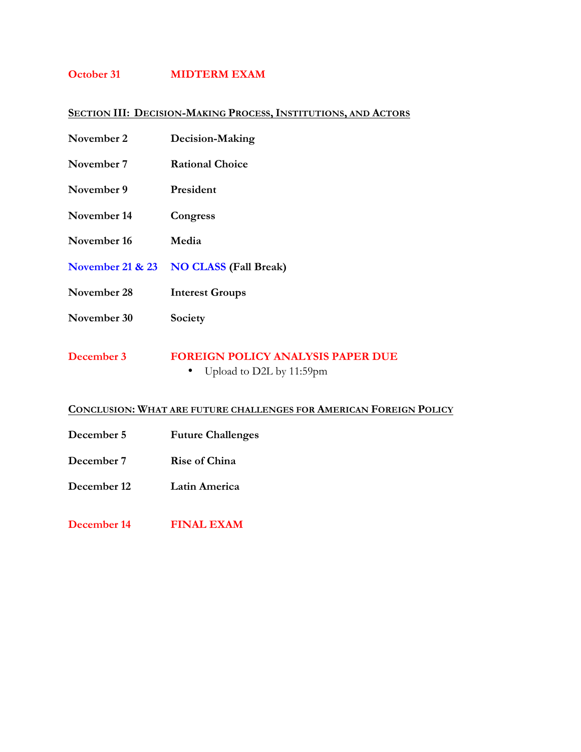# **October 31 MIDTERM EXAM**

# **SECTION III: DECISION-MAKING PROCESS, INSTITUTIONS, AND ACTORS**

| November 2                  | Decision-Making                                                      |
|-----------------------------|----------------------------------------------------------------------|
| November 7                  | <b>Rational Choice</b>                                               |
| November 9                  | President                                                            |
| November 14                 | Congress                                                             |
| November 16                 | Media                                                                |
| <b>November 21 &amp; 23</b> | <b>NO CLASS (Fall Break)</b>                                         |
| November 28                 | <b>Interest Groups</b>                                               |
| November 30                 | Society                                                              |
| December 3                  | <b>FOREIGN POLICY ANALYSIS PAPER DUE</b><br>Upload to D2L by 11:59pm |

# **CONCLUSION: WHAT ARE FUTURE CHALLENGES FOR AMERICAN FOREIGN POLICY**

- **December 5 Future Challenges**
- **December 7 Rise of China**
- **December 12 Latin America**
- **December 14 FINAL EXAM**